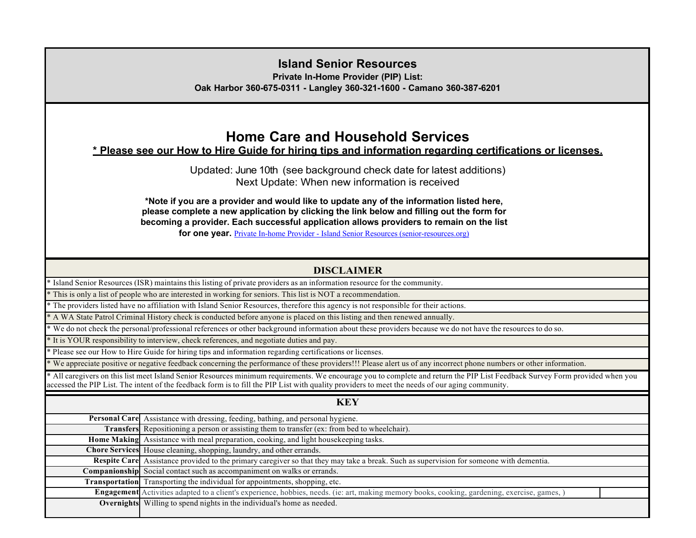### **Island Senior Resources**

**Private In-Home Provider (PIP) List:**

**Oak Harbor 360-675-0311 - Langley 360-321-1600 - Camano 360-387-6201**

## **Home Care and Household Services**

### **\* Please see our How to Hire Guide for hiring tips and information regarding certifications or licenses.**

Updated: June 10th (see background check date for latest additions) Next Update: When new information is received

**\*Note if you are a provider and would like to update any of the information listed here, please complete a new application by clicking the link below and filling out the form for becoming a provider. Each successful application allows providers to remain on the list for one year.** Private In-home Provider - Island Senior Resources (senior-resources.org)

#### **DISCLAIMER**

\* Island Senior Resources (ISR) maintains this listing of private providers as an information resource for the community.

This is only a list of people who are interested in working for seniors. This list is NOT a recommendation.

\* The providers listed have no affiliation with Island Senior Resources, therefore this agency is not responsible for their actions.

\* A WA State Patrol Criminal History check is conducted before anyone is placed on this listing and then renewed annually.

We do not check the personal/professional references or other background information about these providers because we do not have the resources to do so.

It is YOUR responsibility to interview, check references, and negotiate duties and pay.

\* Please see our How to Hire Guide for hiring tips and information regarding certifications or licenses.

\* We appreciate positive or negative feedback concerning the performance of these providers!!! Please alert us of any incorrect phone numbers or other information.

\* All caregivers on this list meet Island Senior Resources minimum requirements. We encourage you to complete and return the PIP List Feedback Survey Form provided when you accessed the PIP List. The intent of the feedback form is to fill the PIP List with quality providers to meet the needs of our aging community.

| $\circ$ $\circ$                                                                                                                              |
|----------------------------------------------------------------------------------------------------------------------------------------------|
| <b>KEY</b>                                                                                                                                   |
| Personal Care Assistance with dressing, feeding, bathing, and personal hygiene.                                                              |
| Transfers Repositioning a person or assisting them to transfer (ex: from bed to wheelchair).                                                 |
| Home Making Assistance with meal preparation, cooking, and light housekeeping tasks.                                                         |
| Chore Services House cleaning, shopping, laundry, and other errands.                                                                         |
| Respite Care Assistance provided to the primary caregiver so that they may take a break. Such as supervision for someone with dementia.      |
| Companionship Social contact such as accompaniment on walks or errands.                                                                      |
| Transportation Transporting the individual for appointments, shopping, etc.                                                                  |
| Engagement Activities adapted to a client's experience, hobbies, needs. (ie: art, making memory books, cooking, gardening, exercise, games,) |
| <b>Overnights</b> Willing to spend nights in the individual's home as needed.                                                                |
|                                                                                                                                              |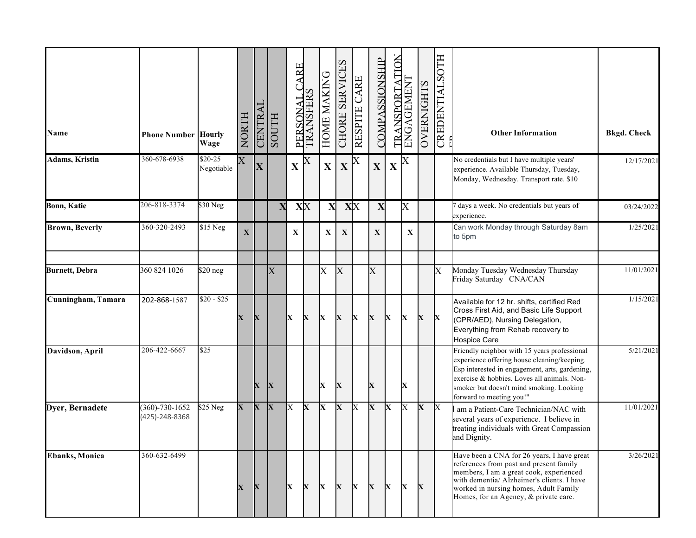| Name                   | <b>Phone Number Hourly</b>             | Wage                   | NORTH                   | <b>CENTRAI</b> | <b>HLIOOS</b>         | <b>ARE</b><br>PERSON | TRANSFERS   | HOME MAKING  | CHORE SERVICES    | RESPITE CARE | COMPASSIONSHIP          | ANSPORTATION<br>$_{\rm TR}$ | ENGAGEMENT  | <b>OVERNIGHTS</b> | CREDENTIALSOTH          | <b>Other Information</b>                                                                                                                                                                                                                                             | <b>Bkgd. Check</b> |
|------------------------|----------------------------------------|------------------------|-------------------------|----------------|-----------------------|----------------------|-------------|--------------|-------------------|--------------|-------------------------|-----------------------------|-------------|-------------------|-------------------------|----------------------------------------------------------------------------------------------------------------------------------------------------------------------------------------------------------------------------------------------------------------------|--------------------|
| <b>Adams, Kristin</b>  | 360-678-6938                           | $$20-25$<br>Negotiable | $\overline{\mathrm{X}}$ | $\mathbf X$    |                       | X                    | X           | X            | X                 |              | $\mathbf X$             | X                           | X           |                   |                         | No credentials but I have multiple years'<br>experience. Available Thursday, Tuesday,<br>Monday, Wednesday. Transport rate. \$10                                                                                                                                     | 12/17/2021         |
| <b>Bonn, Katie</b>     | 206-818-3374                           | \$30 Neg               |                         |                | $\mathbf X$           |                      | XX          | $\mathbf{X}$ |                   | XX           | X                       |                             | X           |                   |                         | days a week. No credentials but years of<br>experience.                                                                                                                                                                                                              | 03/24/2022         |
| <b>Brown</b> , Beverly | 360-320-2493                           | \$15 Neg               | $\mathbf X$             |                |                       | $\mathbf X$          |             | X            | $\mathbf X$       |              | $\mathbf X$             |                             | $\mathbf X$ |                   |                         | Can work Monday through Saturday 8am<br>to 5pm                                                                                                                                                                                                                       | 1/25/2021          |
| <b>Burnett, Debra</b>  | 360 824 1026                           | $$20$ neg              |                         |                | $\overline{\text{X}}$ |                      |             | X            | $\rm\overline{X}$ |              | $\overline{\mathrm{X}}$ |                             |             |                   | $\overline{\mathrm{X}}$ | Monday Tuesday Wednesday Thursday<br>Friday Saturday CNA/CAN                                                                                                                                                                                                         | 11/01/2021         |
| Cunningham, Tamara     | 202-868-1587                           | $$20 - $25$            | X                       | $\mathbf X$    |                       | IX.                  | X           | X            | X                 | X            | X                       | X                           | X           | X                 | X                       | Available for 12 hr. shifts, certified Red<br>Cross First Aid, and Basic Life Support<br>(CPR/AED), Nursing Delegation,<br>Everything from Rehab recovery to<br><b>Hospice Care</b>                                                                                  | 1/15/2021          |
| Davidson, April        | 206-422-6667                           | \$25                   |                         | $\mathbf X$    | X                     |                      |             | X            | X                 |              | X                       |                             | X           |                   |                         | Friendly neighbor with 15 years professional<br>experience offering house cleaning/keeping.<br>Esp interested in engagement, arts, gardening,<br>exercise & hobbies. Loves all animals. Non-<br>smoker but doesn't mind smoking. Looking<br>forward to meeting you!" | 5/21/2021          |
| Dyer, Bernadete        | $(360) - 730 - 1652$<br>(425)-248-8368 | $$25$ Neg              | $\mathbf{X}$            | $\mathbf{X}$   | X                     | X                    | X           | X            | X                 | X            | X                       | X                           | Х           | $\mathbf X$       | X                       | am a Patient-Care Technician/NAC with<br>several years of experience. I believe in<br>treating individuals with Great Compassion<br>and Dignity.                                                                                                                     | 11/01/2021         |
| <b>Ebanks</b> , Monica | 360-632-6499                           |                        | $\mathbf X$             | $\mathbf{X}$   |                       | $\mathbf{x}$         | $\mathbf X$ | $\mathbf{X}$ | $\mathbf X$       | $\mathbf{X}$ | X                       | X                           | X           | $\mathbf{X}$      |                         | Have been a CNA for 26 years, I have great<br>references from past and present family<br>members, I am a great cook, experienced<br>with dementia/ Alzheimer's clients. I have<br>worked in nursing homes, Adult Family<br>Homes, for an Agency, & private care.     | 3/26/2021          |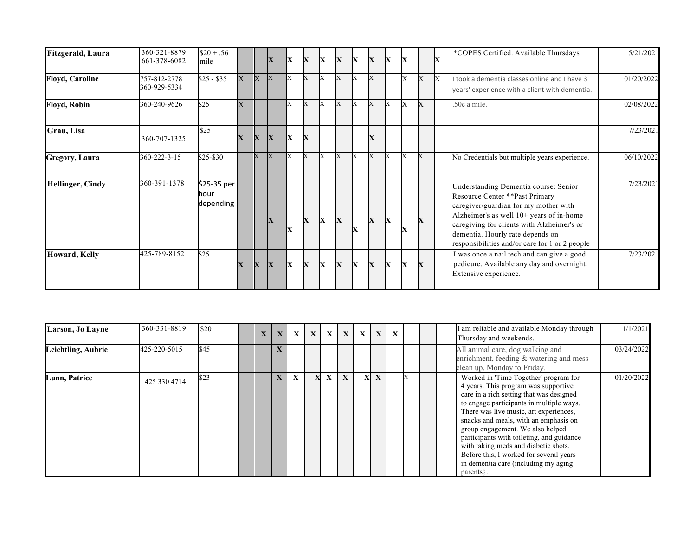| Fitzgerald, Laura       | 360-321-8879<br>661-378-6082 | $$20 + .56$<br>mile              |                         |             | $\overline{\mathbf{X}}$ | IX           | X | X            | X            | X            | X | X | X |   | X | *COPES Certified. Available Thursdays                                                                                                                                                                                                                                                             | 5/21/2021  |
|-------------------------|------------------------------|----------------------------------|-------------------------|-------------|-------------------------|--------------|---|--------------|--------------|--------------|---|---|---|---|---|---------------------------------------------------------------------------------------------------------------------------------------------------------------------------------------------------------------------------------------------------------------------------------------------------|------------|
| <b>Floyd, Caroline</b>  | 757-812-2778<br>360-929-5334 | $$25 - $35$                      | X                       | X           | X                       |              |   |              | X            |              |   |   | Х | X | X | I took a dementia classes online and I have 3<br>years' experience with a client with dementia.                                                                                                                                                                                                   | 01/20/2022 |
| <b>Floyd, Robin</b>     | 360-240-9626                 | \$25                             | X                       |             |                         |              |   |              | X            | X            |   | X | X | X |   | .50c a mile.                                                                                                                                                                                                                                                                                      | 02/08/2022 |
| Grau, Lisa              | 360-707-1325                 | \$25                             | $\overline{\mathbf{X}}$ | $\mathbf X$ | $\overline{\mathbf{X}}$ | X            | X |              |              |              | X |   |   |   |   |                                                                                                                                                                                                                                                                                                   | 7/23/2021  |
| Gregory, Laura          | 360-222-3-15                 | \$25-\$30                        |                         | X           | X                       |              |   |              |              |              |   |   |   | X |   | No Credentials but multiple years experience.                                                                                                                                                                                                                                                     | 06/10/2022 |
| <b>Hellinger, Cindy</b> | 360-391-1378                 | \$25-35 per<br>hour<br>depending |                         |             | IX                      | IX           |   | X            | $\mathbf x$  | X            | X | X | X | X |   | Understanding Dementia course: Senior<br>Resource Center ** Past Primary<br>caregiver/guardian for my mother with<br>Alzheimer's as well 10+ years of in-home<br>caregiving for clients with Alzheimer's or<br>dementia. Hourly rate depends on<br>responsibilities and/or care for 1 or 2 people | 7/23/2021  |
| Howard, Kelly           | 425-789-8152                 | \$25                             | $\mathbf x$             | X           | X                       | $\mathbf{x}$ | X | $\mathbf{X}$ | $\mathbf{x}$ | $\mathbf{X}$ | X | X | X | X |   | I was once a nail tech and can give a good<br>pedicure. Available any day and overnight.<br>Extensive experience.                                                                                                                                                                                 | 7/23/2021  |

| Larson, Jo Layne   | 360-331-8819 | \$20 | $\mathbf{X}$ | $\mathbf{X}$ | $\mathbf{X}$ | $\mathbf{X}$ | $\mathbf{X}$ | $\mathbf{X}$ |    | $X \mid X \mid X$ |  |  | I am reliable and available Monday through<br>Thursday and weekends.                                                                                                                                                                                                                                                                                                                                                                                                              | 1/1/2021   |
|--------------------|--------------|------|--------------|--------------|--------------|--------------|--------------|--------------|----|-------------------|--|--|-----------------------------------------------------------------------------------------------------------------------------------------------------------------------------------------------------------------------------------------------------------------------------------------------------------------------------------------------------------------------------------------------------------------------------------------------------------------------------------|------------|
| Leichtling, Aubrie | 425-220-5015 | \$45 |              |              |              |              |              |              |    |                   |  |  | All animal care, dog walking and<br>enrichment, feeding & watering and mess<br>clean up. Monday to Friday.                                                                                                                                                                                                                                                                                                                                                                        | 03/24/2022 |
| Lunn, Patrice      | 425 330 4714 | \$23 |              | $\mathbf{X}$ | $\mathbf{X}$ | X            | $\mathbf{X}$ | X            | XI | $\mathbf{X}$      |  |  | Worked in 'Time Together' program for<br>4 years. This program was supportive<br>care in a rich setting that was designed<br>to engage participants in multiple ways.<br>There was live music, art experiences,<br>snacks and meals, with an emphasis on<br>group engagement. We also helped<br>participants with toileting, and guidance<br>with taking meds and diabetic shots.<br>Before this, I worked for several years<br>in dementia care (including my aging<br>parents } | 01/20/2022 |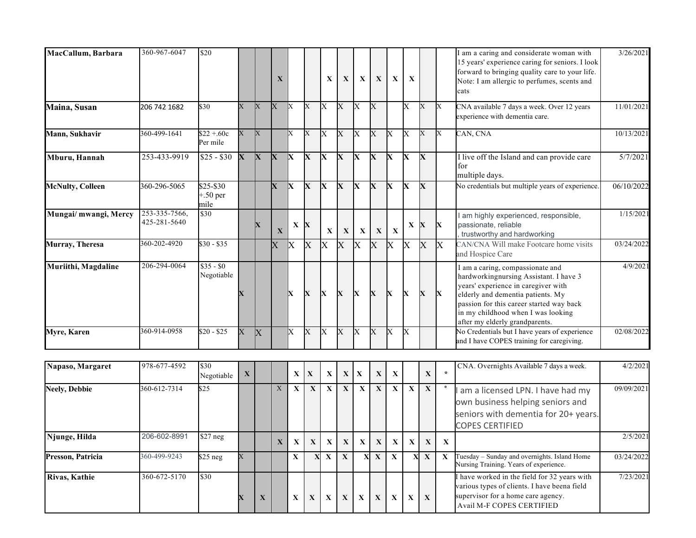| MacCallum, Barbara      | 360-967-6047                  | \$20                              |                |             | X              |                         |                | $\mathbf{X}$            | $\mathbf{X}$            | $\mathbf{x}$            | $\mathbf{X}$            | $\mathbf{x}$            | $\mathbf{x}$            |                         |              | I am a caring and considerate woman with<br>15 years' experience caring for seniors. I look<br>forward to bringing quality care to your life.<br>Note: I am allergic to perfumes, scents and<br>cats                                                                       | 3/26/2021  |
|-------------------------|-------------------------------|-----------------------------------|----------------|-------------|----------------|-------------------------|----------------|-------------------------|-------------------------|-------------------------|-------------------------|-------------------------|-------------------------|-------------------------|--------------|----------------------------------------------------------------------------------------------------------------------------------------------------------------------------------------------------------------------------------------------------------------------------|------------|
| Maina, Susan            | 206 742 1682                  | \$30                              | $\overline{X}$ | X           | $\overline{X}$ | <b>X</b>                | $\mathbf X$    | <sup>X</sup>            | $\mathbf X$             | $\mathbf{X}$            | X                       |                         | X                       | X                       | X            | CNA available 7 days a week. Over 12 years<br>experience with dementia care.                                                                                                                                                                                               | 11/01/2021 |
| Mann, Sukhavir          | 360-499-1641                  | $$22 + .60c$<br>Per mile          | $\overline{X}$ | X           |                | X                       | X              | $\overline{X}$          | $\overline{X}$          | $\overline{X}$          | $\overline{\mathrm{X}}$ | X                       | $\overline{X}$          | X                       |              | CAN, CNA                                                                                                                                                                                                                                                                   | 10/13/2021 |
| Mburu, Hannah           | 253-433-9919                  | $$25 - $30$                       | $\mathbf X$    | X           | X              | $\bf{X}$                | $\mathbf X$    | X                       | $\mathbf X$             | X                       | $\mathbf X$             | $\overline{\mathbf{X}}$ | $\mathbf X$             | $\overline{\mathbf{X}}$ |              | I live off the Island and can provide care<br>for<br>multiple days.                                                                                                                                                                                                        | 5/7/2021   |
| <b>McNulty, Colleen</b> | 360-296-5065                  | $$25 - $30$<br>$+.50$ per<br>mile |                |             | <b>X</b>       | $\overline{\mathbf{X}}$ | $\mathbf{X}$   | <b>X</b>                | $\overline{\mathbf{X}}$ | $\overline{\mathbf{X}}$ | $\overline{\mathbf{X}}$ | $\overline{\mathbf{X}}$ | IX.                     | $\mathbf x$             |              | No credentials but multiple years of experience.                                                                                                                                                                                                                           | 06/10/2022 |
| Mungai/ mwangi, Mercy   | 253-335-7566,<br>425-281-5640 | \$30                              |                | X           | $\mathbf X$    | $\mathbf X$             | $\mathbf{x}$   | $\mathbf X$             | $\mathbf X$             | $\mathbf X$             | $\mathbf X$             | $\mathbf X$             | X X                     |                         | $\mathbf{x}$ | am highly experienced, responsible,<br>passionate, reliable<br>trustworthy and hardworking                                                                                                                                                                                 | 1/15/2021  |
| Murray, Theresa         | 360-202-4920                  | $$30 - $35$                       |                |             | $\mathbf X$    | $\mathbf{X}$            | $\mathbf X$    | X.                      | $\mathbf X$             | $\mathbf{X}$            | $\overline{X}$          | $\mathbf{X}$            | $\mathbf{X}$            | $\overline{X}$          | $\mathsf k$  | CAN/CNA Will make Footcare home visits<br>and Hospice Care                                                                                                                                                                                                                 | 03/24/2022 |
| Muriithi, Magdaline     | 206-294-0064                  | $$35 - $0$<br>Negotiable          | $\mathbf X$    |             |                | lx                      | $\mathbf x$    | $\bf{x}$                | $\mathbf{X}$            | $\bf{x}$                | $\mathbf x$             | $\mathbf{x}$            | $\mathbf{x}$            | X                       | $\mathbf{x}$ | I am a caring, compassionate and<br>hardworkingnursing Assistant. I have 3<br>years' experience in caregiver with<br>elderly and dementia patients. My<br>passion for this career started way back<br>in my childhood when I was looking<br>after my elderly grandparents. | 4/9/2021   |
| Myre, Karen             | 360-914-0958                  | $$20 - $25$                       | $\overline{X}$ | $\mathbf k$ |                | X                       | $\overline{X}$ | $\overline{X}$          | $\overline{\mathrm{X}}$ | $\overline{X}$          | $\overline{\mathrm{X}}$ | $\overline{X}$          | $\overline{\mathrm{X}}$ |                         |              | No Credentials but I have years of experience<br>and I have COPES training for caregiving.                                                                                                                                                                                 | 02/08/2022 |
| Napaso, Margaret        | 978-677-4592                  | \$30<br>Negotiable                | $\mathbf{X}$   |             |                | $\mathbf{X}$            | $\mathbf X$    | $\mathbf X$             | $\mathbf X$             | $\mathbf X$             | $\mathbf X$             | $\mathbf X$             |                         | $\mathbf X$             | $\star$      | CNA. Overnights Available 7 days a week.                                                                                                                                                                                                                                   | 4/2/2021   |
| <b>Neely, Debbie</b>    | 360-612-7314                  | $\sqrt{25}$                       |                |             | $\mathbf{X}$   | $\mathbf{X}$            | $\mathbf X$    | $\mathbf X$             | $\mathbf X$             | $\mathbf X$             | $\mathbf X$             | $\mathbf{X}$            | $\mathbf{X}$            | $\overline{\mathbf{X}}$ |              | am a licensed LPN. I have had my<br>own business helping seniors and<br>seniors with dementia for 20+ years.<br><b>COPES CERTIFIED</b>                                                                                                                                     | 09/09/2021 |
| Njunge, Hilda           | 206-602-8991                  | \$27 neg                          |                |             | $\mathbf X$    | X                       | $\mathbf X$    | $\mathbf X$             | $\mathbf X$             | $\mathbf X$             | $\mathbf X$             | $\mathbf X$             | $\mathbf X$             | $\mathbf X$             | $\mathbf{X}$ |                                                                                                                                                                                                                                                                            | 2/5/2021   |
| Presson, Patricia       | 360-499-9243                  | $\sqrt{$25 \text{ neg}}$          | $\mathbf{X}$   |             |                | $\mathbf X$             | $\mathbf{X}$   | $\overline{\mathbf{X}}$ | $\overline{\mathbf{X}}$ | X                       | $\overline{\mathbf{X}}$ | $\mathbf X$             | $\mathbf{x}$            | $\mathbf X$             | $\mathbf X$  | Tuesday - Sunday and overnights. Island Home<br>Nursing Training. Years of experience.                                                                                                                                                                                     | 03/24/2022 |

 $\bf{x}$   $\bf{x}$   $\bf{x}$   $\bf{x}$   $\bf{x}$   $\bf{x}$   $\bf{x}$   $\bf{x}$   $\bf{x}$   $\bf{x}$   $\bf{x}$   $\bf{x}$   $\bf{x}$ 

I have worked in the field for 32 years with various types of clients. I have beena field supervisor for a home care agency. Avail M-F COPES CERTIFIED

7/23/2021

**Rivas, Kathie** 360-672-5170 \$30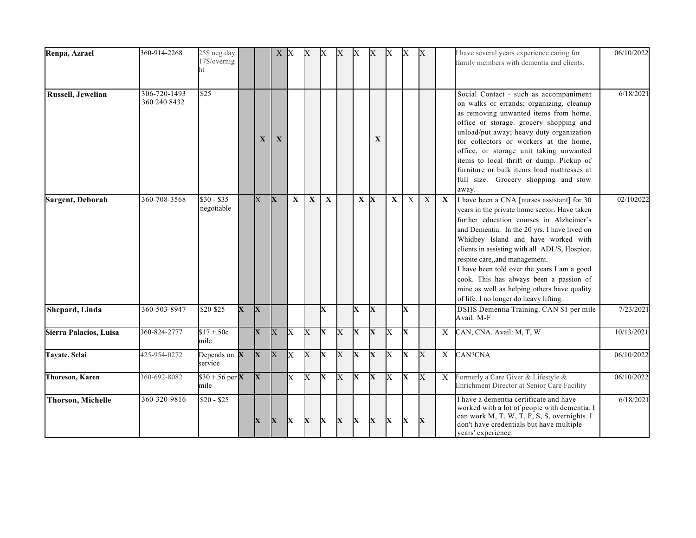| Renpa, Azrael            | 360-914-2268                 | 25\$ neg day<br>17\$/overnig<br>ht |              |                         |                | X X            | $\mathbf{X}$   | X                       | X              | X                       | X                       | X                       | $\mathbf{X}$            | $\boldsymbol{\mathrm{X}}$ |             | I have several years experience caring for<br>family members with dementia and clients.                                                                                                                                                                                                                                                                                                                                                                                                             | 06/10/2022 |
|--------------------------|------------------------------|------------------------------------|--------------|-------------------------|----------------|----------------|----------------|-------------------------|----------------|-------------------------|-------------------------|-------------------------|-------------------------|---------------------------|-------------|-----------------------------------------------------------------------------------------------------------------------------------------------------------------------------------------------------------------------------------------------------------------------------------------------------------------------------------------------------------------------------------------------------------------------------------------------------------------------------------------------------|------------|
| Russell, Jewelian        | 306-720-1493<br>360 240 8432 | $\overline{$25}$                   |              | X                       | $\mathbf X$    |                |                |                         |                |                         | X                       |                         |                         |                           |             | Social Contact - such as accompaniment<br>on walks or errands; organizing, cleanup<br>as removing unwanted items from home,<br>office or storage. grocery shopping and<br>unload/put away; heavy duty organization<br>for collectors or workers at the home,<br>office, or storage unit taking unwanted<br>items to local thrift or dump. Pickup of<br>furniture or bulk items load mattresses at<br>full size. Grocery shopping and stow<br>away.                                                  | 6/18/2021  |
| Sargent, Deborah         | 360-708-3568                 | $$30 - $35$<br>negotiable          |              | $\mathbf X$             | $\mathbf{X}$   | $\mathbf{X}$   | $\mathbf{X}$   | $\mathbf X$             |                |                         | $X$ $X$                 | $\overline{\mathbf{X}}$ | $\overline{X}$          | $\overline{X}$            | X           | I have been a CNA [nurses assistant] for 30<br>years in the private home sector. Have taken<br>further education courses in Alzheimer's<br>and Dementia. In the 20 yrs. I have lived on<br>Whidbey Island and have worked with<br>clients in assisting with all ADL'S, Hospice,<br>respite care,,and management.<br>I have been told over the years I am a good<br>cook. This has always been a passion of<br>mine as well as helping others have quality<br>of life. I no longer do heavy lifting. | 02/102022  |
| Shepard, Linda           | $360 - 503 - 8947$           | \$20-\$25                          | $\mathbf{X}$ | $\mathbf{X}$            |                |                |                | X                       |                | X                       | $\overline{\mathbf{X}}$ |                         | X                       |                           |             | DSHS Dementia Training. CAN \$1 per mile<br>Avail: M-F                                                                                                                                                                                                                                                                                                                                                                                                                                              | 7/23/2021  |
| Sierra Palacios, Luisa   | 360-824-2777                 | $$17 + .50c$<br>mile               |              | $\mathbf x$             | X              | lx             | $\overline{X}$ | Ιx                      | $\overline{X}$ | $\mathbf{x}$            | $\mathbf{X}$            | $\overline{X}$          | lx                      |                           | X           | CAN, CNA. Avail: M, T, W                                                                                                                                                                                                                                                                                                                                                                                                                                                                            | 10/13/2021 |
| Tayate, Selai            | 425-954-0272                 | Depends on $X$<br>service          |              | $\overline{\mathbf{X}}$ | $\overline{X}$ | $\overline{X}$ | $\overline{X}$ | $\overline{\mathbf{X}}$ | $\overline{X}$ | $\overline{\mathbf{X}}$ | $\overline{\mathbf{X}}$ | $\overline{X}$          | $\overline{\mathbf{x}}$ | $\overline{\text{X}}$     | $\mathbf X$ | CAN?CNA                                                                                                                                                                                                                                                                                                                                                                                                                                                                                             | 06/10/2022 |
| <b>Thoreson, Karen</b>   | 360-692-8082                 | \$30 + .56 per $X$<br>mile         |              | X                       |                | $\mathbf x$    | $\overline{X}$ | $\overline{\mathbf{X}}$ | $\overline{X}$ | $\overline{\mathbf{X}}$ | $\overline{\mathbf{X}}$ | $\overline{X}$          | $\overline{\mathbf{X}}$ | $\overline{\text{X}}$     | X           | Formerly a Care Giver & Lifestyle &<br>Enrichment Director at Senior Care Facility                                                                                                                                                                                                                                                                                                                                                                                                                  | 06/10/2022 |
| <b>Thorson, Michelle</b> | 360-320-9816                 | $$20 - $25$                        |              | X                       | $\mathbf{X}$   | IX.            | X              | IX.                     | $\mathbf X$    | $\mathbf{X}$            | $\mathbf X$             | X                       | X                       | $\mathbf X$               |             | I have a dementia certificate and have<br>worked with a lot of people with dementia. I<br>can work M, T, W, T, F, S, S, overnights. I<br>don't have credentials but have multiple<br>years' experience.                                                                                                                                                                                                                                                                                             | 6/18/2021  |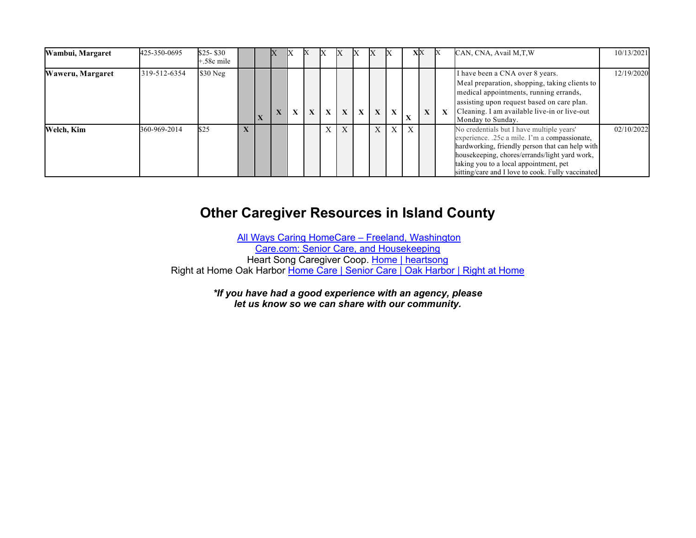| Wambui, Margaret | 425-350-0695 | \$25-\$30<br>-.58c mile |              |              |              |              | IА           | IА           | ΙX           | IX           |              |           | XX |             | CAN, CNA, Avail M, T, W                                                                                                                                                                                                                                                                       | 10/13/2021 |
|------------------|--------------|-------------------------|--------------|--------------|--------------|--------------|--------------|--------------|--------------|--------------|--------------|-----------|----|-------------|-----------------------------------------------------------------------------------------------------------------------------------------------------------------------------------------------------------------------------------------------------------------------------------------------|------------|
| Waweru, Margaret | 319-512-6354 | $$30$ Neg               |              | $\mathbf{X}$ | $\mathbf{X}$ | $\mathbf{X}$ | $\mathbf{X}$ | $\mathbf{X}$ | $\mathbf{X}$ | $\mathbf{X}$ | $\mathbf{X}$ | $\Lambda$ | X  | $\mathbf x$ | I have been a CNA over 8 years.<br>Meal preparation, shopping, taking clients to<br>medical appointments, running errands,<br>assisting upon request based on care plan.<br>Cleaning. I am available live-in or live-out<br>Monday to Sunday.                                                 | 12/19/2020 |
| Welch, Kim       | 360-969-2014 | \$25                    | $\mathbf{X}$ |              |              |              |              |              |              | X            | $\mathbf{X}$ | X         |    |             | No credentials but I have multiple years'<br>experience. .25c a mile. I'm a compassionate,<br>hardworking, friendly person that can help with<br>housekeeping, chores/errands/light yard work,<br>taking you to a local appointment, pet<br>sitting/care and I love to cook. Fully vaccinated | 02/10/2022 |

## **Other Caregiver Resources in Island County**

All Ways Caring HomeCare – Freeland, Washington Care.com: Senior Care, and Housekeeping Heart Song Caregiver Coop. Home | heartsong Right at Home Oak Harbor Home Care | Senior Care | Oak Harbor | Right at Home

> *\*If you have had a good experience with an agency, please let us know so we can share with our community.*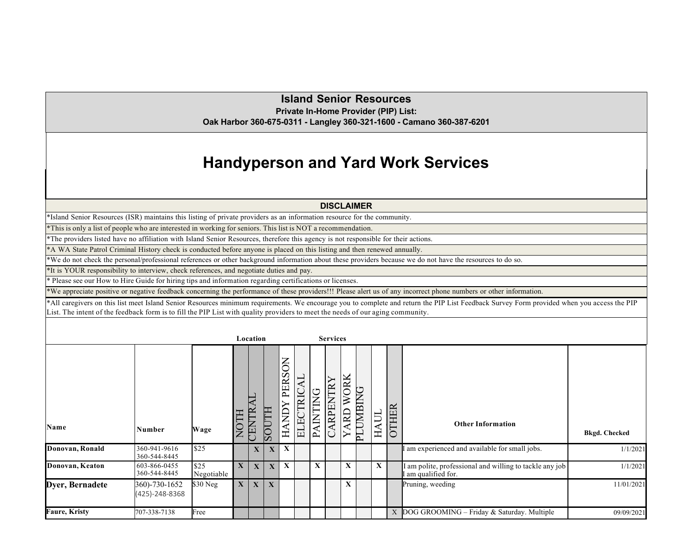#### **Island Senior Resources Private In-Home Provider (PIP) List:**

**Oak Harbor 360-675-0311 - Langley 360-321-1600 - Camano 360-387-6201**

# **Handyperson and Yard Work Services**

#### **DISCLAIMER**

\*Island Senior Resources (ISR) maintains this listing of private providers as an information resource for the community.

\*This is only a list of people who are interested in working for seniors. This list is NOT a recommendation.

\*The providers listed have no affiliation with Island Senior Resources, therefore this agency is not responsible for their actions.

\*A WA State Patrol Criminal History check is conducted before anyone is placed on this listing and then renewed annually.

\*We do not check the personal/professional references or other background information about these providers because we do not have the resources to do so.

\*It is YOUR responsibility to interview, check references, and negotiate duties and pay.

\* Please see our How to Hire Guide for hiring tips and information regarding certifications or licenses.

\*We appreciate positive or negative feedback concerning the performance of these providers!!! Please alert us of any incorrect phone numbers or other information.

\*All caregivers on this list meet Island Senior Resources minimum requirements. We encourage you to complete and return the PIP List Feedback Survey Form provided when you access the PIP List. The intent of the feedback form is to fill the PIP List with quality providers to meet the needs of our aging community.

|                      |                                 |                    |              | Location              |              |                                                      |                                              |              | <b>Services</b>      |                   |                         |             |              |                                                                                |                      |
|----------------------|---------------------------------|--------------------|--------------|-----------------------|--------------|------------------------------------------------------|----------------------------------------------|--------------|----------------------|-------------------|-------------------------|-------------|--------------|--------------------------------------------------------------------------------|----------------------|
| Name                 | Number                          | Wage               | <b>NOTH</b>  | LV<br>P<br><b>CEN</b> | F<br>10S     | Š<br>$\breve{\mathbf{v}}$<br>PER<br>Ş<br>↤<br>◀<br>보 | TRIC<br>$\boxed{\underline{\mathbf{1}}$<br>E | à<br>PAINTIN | $\mathbb{R}$<br>RPEN | <b>TORK</b><br>RD | DNIBING<br>$\mathbf{E}$ | <b>HAUL</b> | <b>OTHER</b> | <b>Other Information</b>                                                       | <b>Bkgd. Checked</b> |
| Donovan, Ronald      | 360-941-9616<br>360-544-8445    | \$25               |              | $\mathbf X$           | $\mathbf{X}$ | $\mathbf{X}$                                         |                                              |              |                      |                   |                         |             |              | am experienced and available for small jobs.                                   | 1/1/2021             |
| Donovan, Keaton      | 603-866-0455<br>360-544-8445    | \$25<br>Negotiable | $\mathbf{X}$ | X                     | $\mathbf{X}$ | X                                                    |                                              | X            |                      | A                 |                         | $\mathbf X$ |              | I am polite, professional and willing to tackle any job<br>I am qualified for. | 1/1/2021             |
| Dyer, Bernadete      | 360)-730-1652<br>(425)-248-8368 | \$30 Neg           | $\mathbf{X}$ | X                     | X            |                                                      |                                              |              |                      | X                 |                         |             |              | Pruning, weeding                                                               | 11/01/2021           |
| <b>Faure, Kristy</b> | 707-338-7138                    | Free               |              |                       |              |                                                      |                                              |              |                      |                   |                         |             | X            | DOG GROOMING - Friday & Saturday. Multiple                                     | 09/09/2021           |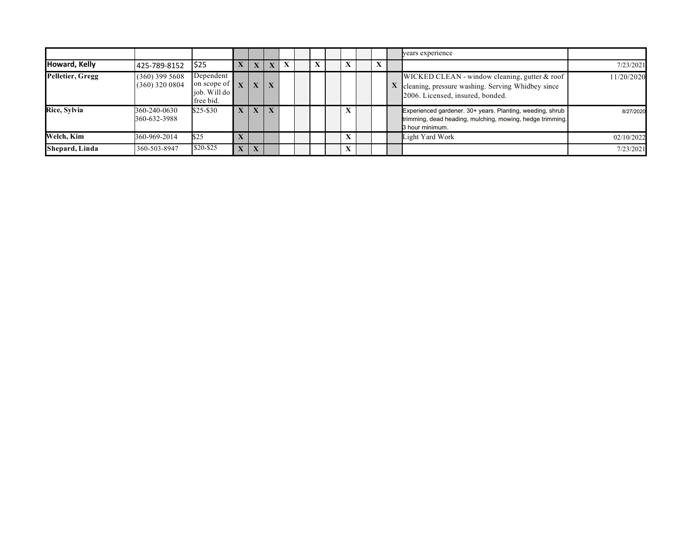|                  |                                      |                                                                      |              |              |                         |   |  |  |  | years experience                                                                                                                          |            |
|------------------|--------------------------------------|----------------------------------------------------------------------|--------------|--------------|-------------------------|---|--|--|--|-------------------------------------------------------------------------------------------------------------------------------------------|------------|
| Howard, Kelly    | 425-789-8152                         | \$25                                                                 | X            | X            | $\overline{\mathbf{X}}$ | X |  |  |  |                                                                                                                                           | 7/23/2021  |
| Pelletier, Gregg | $(360)$ 399 5608<br>$(360)$ 320 0804 | Dependent<br>on scope of $\mathbf{X}$<br>iob. Will do  <br>free bid. |              | $\mathbf{X}$ | $\mathbf{X}$            |   |  |  |  | WICKED CLEAN - window cleaning, gutter & roof<br>X cleaning, pressure washing. Serving Whidbey since<br>2006. Licensed, insured, bonded.  | 11/20/2020 |
| Rice, Sylvia     | 360-240-0630<br>360-632-3988         | $$25 - $30$                                                          | X            | $\mathbf{X}$ | $\mathbf{X}$            |   |  |  |  | Experienced gardener. 30+ years. Planting, weeding, shrub<br>trimming, dead heading, mulching, mowing, hedge trimming.<br>3 hour minimum. | 8/27/2020  |
| Welch, Kim       | 360-969-2014                         | \$25                                                                 |              |              |                         |   |  |  |  | Light Yard Work                                                                                                                           | 02/10/2022 |
| Shepard, Linda   | 360-503-8947                         | \$20-\$25                                                            | $\mathbf{X}$ | $\mathbf{X}$ |                         |   |  |  |  |                                                                                                                                           | 7/23/2021  |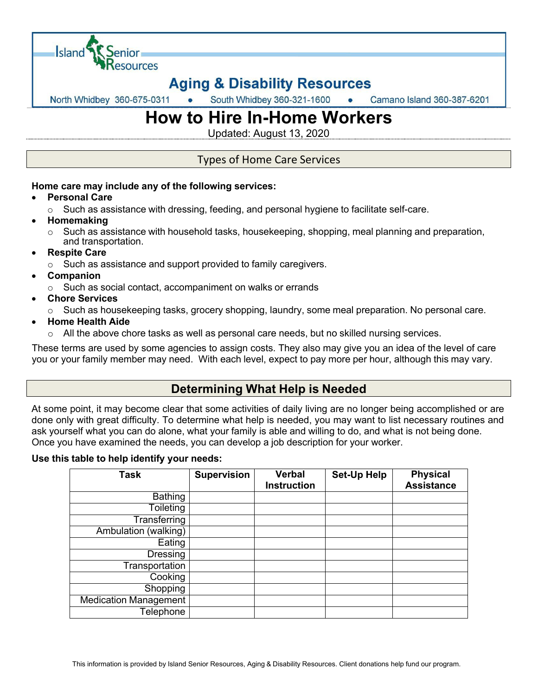

## **Aging & Disability Resources**

South Whidbey 360-321-1600 North Whidbey 360-675-0311 Camano Island 360-387-6201

# **How to Hire In-Home Workers**

Updated: August 13, 2020

### Types of Home Care Services

### **Home care may include any of the following services:**

- **Personal Care**
	- $\circ$  Such as assistance with dressing, feeding, and personal hygiene to facilitate self-care.
- **Homemaking**
	- $\circ$  Such as assistance with household tasks, housekeeping, shopping, meal planning and preparation, and transportation.
- **Respite Care**
	- $\circ$  Such as assistance and support provided to family caregivers.
- **Companion**
	- o Such as social contact, accompaniment on walks or errands
- **Chore Services**
	- $\circ$  Such as housekeeping tasks, grocery shopping, laundry, some meal preparation. No personal care.
- **Home Health Aide**
	- $\circ$  All the above chore tasks as well as personal care needs, but no skilled nursing services.

These terms are used by some agencies to assign costs. They also may give you an idea of the level of care you or your family member may need. With each level, expect to pay more per hour, although this may vary.

### **Determining What Help is Needed**

At some point, it may become clear that some activities of daily living are no longer being accomplished or are done only with great difficulty. To determine what help is needed, you may want to list necessary routines and ask yourself what you can do alone, what your family is able and willing to do, and what is not being done. Once you have examined the needs, you can develop a job description for your worker.

#### **Use this table to help identify your needs:**

| Task                         | <b>Supervision</b> | <b>Verbal</b><br><b>Instruction</b> | <b>Set-Up Help</b> | <b>Physical</b><br><b>Assistance</b> |
|------------------------------|--------------------|-------------------------------------|--------------------|--------------------------------------|
| <b>Bathing</b>               |                    |                                     |                    |                                      |
| Toileting                    |                    |                                     |                    |                                      |
| <b>Transferring</b>          |                    |                                     |                    |                                      |
| Ambulation (walking)         |                    |                                     |                    |                                      |
| Eating                       |                    |                                     |                    |                                      |
| <b>Dressing</b>              |                    |                                     |                    |                                      |
| Transportation               |                    |                                     |                    |                                      |
| Cooking                      |                    |                                     |                    |                                      |
| Shopping                     |                    |                                     |                    |                                      |
| <b>Medication Management</b> |                    |                                     |                    |                                      |
| <b>Telephone</b>             |                    |                                     |                    |                                      |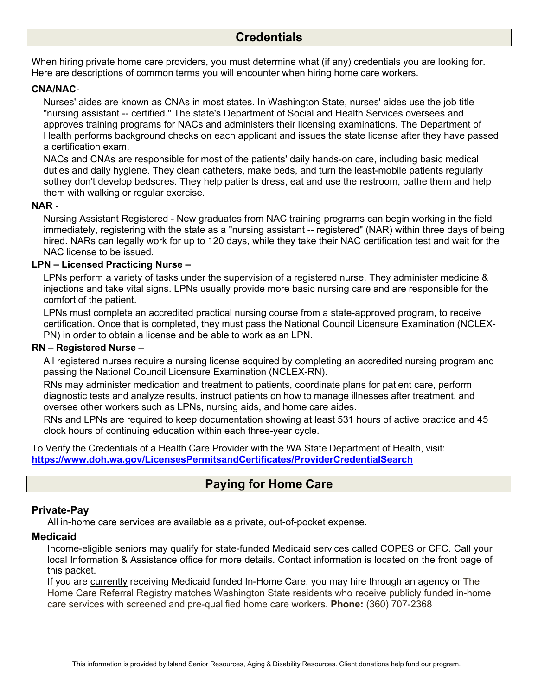### **Credentials**

When hiring private home care providers, you must determine what (if any) credentials you are looking for. Here are descriptions of common terms you will encounter when hiring home care workers.

#### **CNA/NAC***-*

Nurses' aides are known as CNAs in most states. In Washington State, nurses' aides use the job title "nursing assistant -- certified." The state's Department of Social and Health Services oversees and approves training programs for NACs and administers their licensing examinations. The Department of Health performs background checks on each applicant and issues the state license after they have passed a certification exam.

NACs and CNAs are responsible for most of the patients' daily hands-on care, including basic medical duties and daily hygiene. They clean catheters, make beds, and turn the least-mobile patients regularly sothey don't develop bedsores. They help patients dress, eat and use the restroom, bathe them and help them with walking or regular exercise.

#### **NAR -**

Nursing Assistant Registered - New graduates from NAC training programs can begin working in the field immediately, registering with the state as a "nursing assistant -- registered" (NAR) within three days of being hired. NARs can legally work for up to 120 days, while they take their NAC certification test and wait for the NAC license to be issued.

#### **LPN – Licensed Practicing Nurse –**

LPNs perform a variety of tasks under the supervision of a registered nurse. They administer medicine & injections and take vital signs. LPNs usually provide more basic nursing care and are responsible for the comfort of the patient.

LPNs must complete an accredited practical nursing course from a state-approved program, to receive certification. Once that is completed, they must pass the National Council Licensure Examination (NCLEX-PN) in order to obtain a license and be able to work as an LPN.

#### **RN – Registered Nurse –**

All registered nurses require a nursing license acquired by completing an accredited nursing program and passing the National Council Licensure Examination (NCLEX-RN).

RNs may administer medication and treatment to patients, coordinate plans for patient care, perform diagnostic tests and analyze results, instruct patients on how to manage illnesses after treatment, and oversee other workers such as LPNs, nursing aids, and home care aides.

RNs and LPNs are required to keep documentation showing at least 531 hours of active practice and 45 clock hours of continuing education within each three-year cycle.

To Verify the Credentials of a Health Care Provider with the WA State Department of Health, visit: **https://www.doh.wa.gov/LicensesPermitsandCertificates/ProviderCredentialSearch**

### **Paying for Home Care**

#### **Private-Pay**

All in-home care services are available as a private, out-of-pocket expense.

#### **Medicaid**

Income-eligible seniors may qualify for state-funded Medicaid services called COPES or CFC. Call your local Information & Assistance office for more details. Contact information is located on the front page of this packet.

If you are currently receiving Medicaid funded In-Home Care, you may hire through an agency or The Home Care Referral Registry matches Washington State residents who receive publicly funded in-home care services with screened and pre-qualified home care workers. **Phone:** (360) 707-2368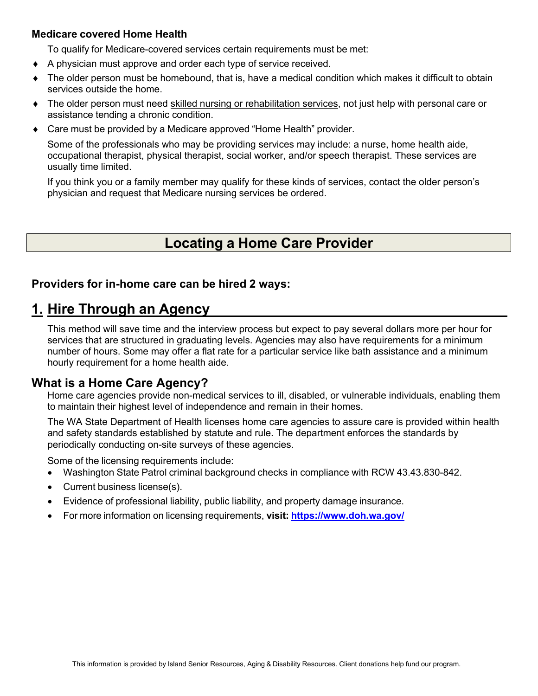### **Medicare covered Home Health**

To qualify for Medicare-covered services certain requirements must be met:

- A physician must approve and order each type of service received.
- The older person must be homebound, that is, have a medical condition which makes it difficult to obtain services outside the home.
- The older person must need skilled nursing or rehabilitation services, not just help with personal care or assistance tending a chronic condition.
- Care must be provided by a Medicare approved "Home Health" provider.

Some of the professionals who may be providing services may include: a nurse, home health aide, occupational therapist, physical therapist, social worker, and/or speech therapist. These services are usually time limited.

If you think you or a family member may qualify for these kinds of services, contact the older person's physician and request that Medicare nursing services be ordered.

## **Locating a Home Care Provider**

### **Providers for in-home care can be hired 2 ways:**

### **1. Hire Through an Agency**

This method will save time and the interview process but expect to pay several dollars more per hour for services that are structured in graduating levels. Agencies may also have requirements for a minimum number of hours. Some may offer a flat rate for a particular service like bath assistance and a minimum hourly requirement for a home health aide.

### **What is a Home Care Agency?**

Home care agencies provide non-medical services to ill, disabled, or vulnerable individuals, enabling them to maintain their highest level of independence and remain in their homes.

The WA State Department of Health licenses home care agencies to assure care is provided within health and safety standards established by statute and rule. The department enforces the standards by periodically conducting on-site surveys of these agencies.

Some of the licensing requirements include:

- Washington State Patrol criminal background checks in compliance with RCW 43.43.830-842.
- Current business license(s).
- Evidence of professional liability, public liability, and property damage insurance.
- For more information on licensing requirements, **visit: https://www.doh.wa.gov/**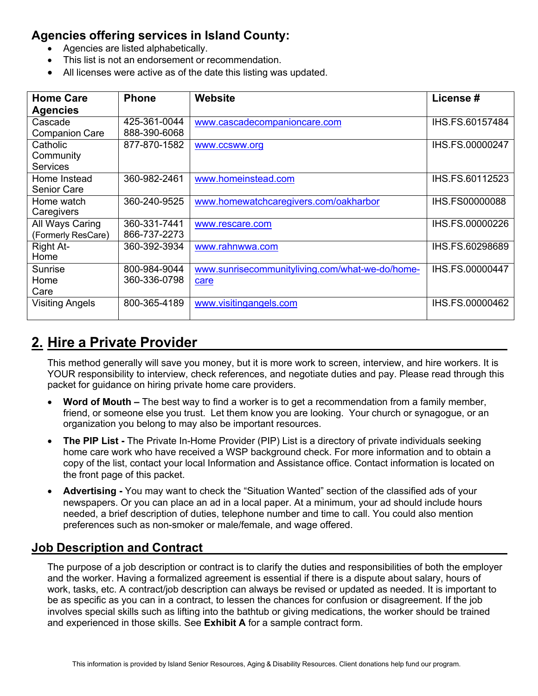### **Agencies offering services in Island County:**

- Agencies are listed alphabetically.
- This list is not an endorsement or recommendation.
- All licenses were active as of the date this listing was updated.

| <b>Home Care</b>       | <b>Phone</b> | <b>Website</b>                                  | License#              |
|------------------------|--------------|-------------------------------------------------|-----------------------|
| <b>Agencies</b>        |              |                                                 |                       |
| Cascade                | 425-361-0044 | www.cascadecompanioncare.com                    | IHS.FS.60157484       |
| <b>Companion Care</b>  | 888-390-6068 |                                                 |                       |
| Catholic               | 877-870-1582 | www.ccsww.org                                   | IHS.FS.00000247       |
| Community              |              |                                                 |                       |
| <b>Services</b>        |              |                                                 |                       |
| Home Instead           | 360-982-2461 | www.homeinstead.com                             | IHS.FS.60112523       |
| <b>Senior Care</b>     |              |                                                 |                       |
| Home watch             | 360-240-9525 | www.homewatchcaregivers.com/oakharbor           | <b>IHS.FS00000088</b> |
| Caregivers             |              |                                                 |                       |
| All Ways Caring        | 360-331-7441 | www.rescare.com                                 | IHS.FS.00000226       |
| (Formerly ResCare)     | 866-737-2273 |                                                 |                       |
| Right At-              | 360-392-3934 | www.rahnwwa.com                                 | IHS.FS.60298689       |
| Home                   |              |                                                 |                       |
| Sunrise                | 800-984-9044 | www.sunrisecommunityliving.com/what-we-do/home- | IHS.FS.00000447       |
| Home                   | 360-336-0798 | care                                            |                       |
| Care                   |              |                                                 |                       |
| <b>Visiting Angels</b> | 800-365-4189 | www.visitingangels.com                          | IHS.FS.00000462       |
|                        |              |                                                 |                       |

## **2. Hire a Private Provider**

This method generally will save you money, but it is more work to screen, interview, and hire workers. It is YOUR responsibility to interview, check references, and negotiate duties and pay. Please read through this packet for guidance on hiring private home care providers.

- **Word of Mouth –** The best way to find a worker is to get a recommendation from a family member, friend, or someone else you trust. Let them know you are looking. Your church or synagogue, or an organization you belong to may also be important resources.
- **The PIP List -** The Private In-Home Provider (PIP) List is a directory of private individuals seeking home care work who have received a WSP background check. For more information and to obtain a copy of the list, contact your local Information and Assistance office. Contact information is located on the front page of this packet.
- **Advertising -** You may want to check the "Situation Wanted" section of the classified ads of your newspapers. Or you can place an ad in a local paper. At a minimum, your ad should include hours needed, a brief description of duties, telephone number and time to call. You could also mention preferences such as non-smoker or male/female, and wage offered.

### **Job Description and Contract**

The purpose of a job description or contract is to clarify the duties and responsibilities of both the employer and the worker. Having a formalized agreement is essential if there is a dispute about salary, hours of work, tasks, etc. A contract/job description can always be revised or updated as needed. It is important to be as specific as you can in a contract, to lessen the chances for confusion or disagreement. If the job involves special skills such as lifting into the bathtub or giving medications, the worker should be trained and experienced in those skills. See **Exhibit A** for a sample contract form.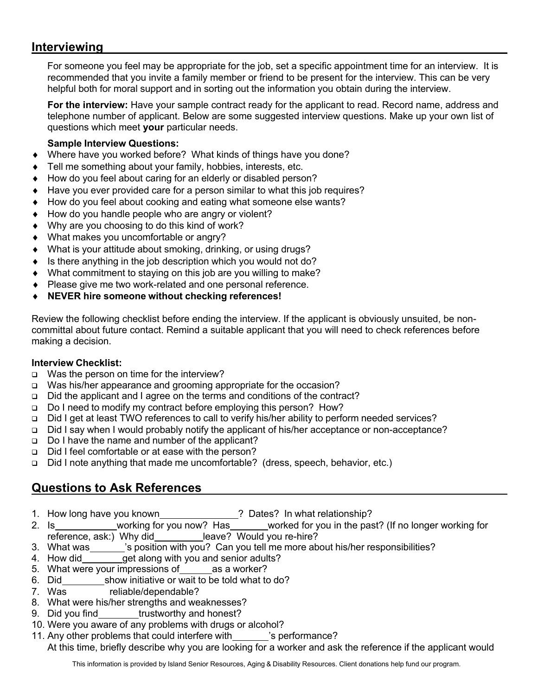### **Interviewing**

For someone you feel may be appropriate for the job, set a specific appointment time for an interview. It is recommended that you invite a family member or friend to be present for the interview. This can be very helpful both for moral support and in sorting out the information you obtain during the interview.

**For the interview:** Have your sample contract ready for the applicant to read. Record name, address and telephone number of applicant. Below are some suggested interview questions. Make up your own list of questions which meet **your** particular needs.

### **Sample Interview Questions:**

- Where have you worked before? What kinds of things have you done?
- Tell me something about your family, hobbies, interests, etc.
- How do you feel about caring for an elderly or disabled person?
- Have you ever provided care for a person similar to what this job requires?
- How do you feel about cooking and eating what someone else wants?
- How do you handle people who are angry or violent?
- Why are you choosing to do this kind of work?
- What makes you uncomfortable or angry?
- What is your attitude about smoking, drinking, or using drugs?
- Is there anything in the job description which you would not do?
- What commitment to staying on this job are you willing to make?
- Please give me two work-related and one personal reference.
- ¨ **NEVER hire someone without checking references!**

Review the following checklist before ending the interview. If the applicant is obviously unsuited, be noncommittal about future contact. Remind a suitable applicant that you will need to check references before making a decision.

### **Interview Checklist:**

- q Was the person on time for the interview?
- q Was his/her appearance and grooming appropriate for the occasion?
- q Did the applicant and I agree on the terms and conditions of the contract?
- q Do I need to modify my contract before employing this person? How?
- q Did I get at least TWO references to call to verify his/her ability to perform needed services?
- q Did I say when I would probably notify the applicant of his/her acceptance or non-acceptance?
- q Do I have the name and number of the applicant?
- q Did I feel comfortable or at ease with the person?
- q Did I note anything that made me uncomfortable? (dress, speech, behavior, etc.)

### **Questions to Ask References**

- 1. How long have you known ? Dates? In what relationship?
- 2. Is working for you now? Has worked for you in the past? (If no longer working for reference, ask:) Why did leave? Would you re-hire?
- 3. What was \_\_\_\_\_\_'s position with you? Can you tell me more about his/her responsibilities?
- 4. How did get along with you and senior adults?
- 5. What were your impressions of as a worker?
- 6. Did show initiative or wait to be told what to do?
- 7. Was reliable/dependable?
- 8. What were his/her strengths and weaknesses?
- 9. Did you find trustworthy and honest?
- 10. Were you aware of any problems with drugs or alcohol?
- 11. Any other problems that could interfere with \_\_\_\_\_\_\_'s performance?
	- At this time, briefly describe why you are looking for a worker and ask the reference if the applicant would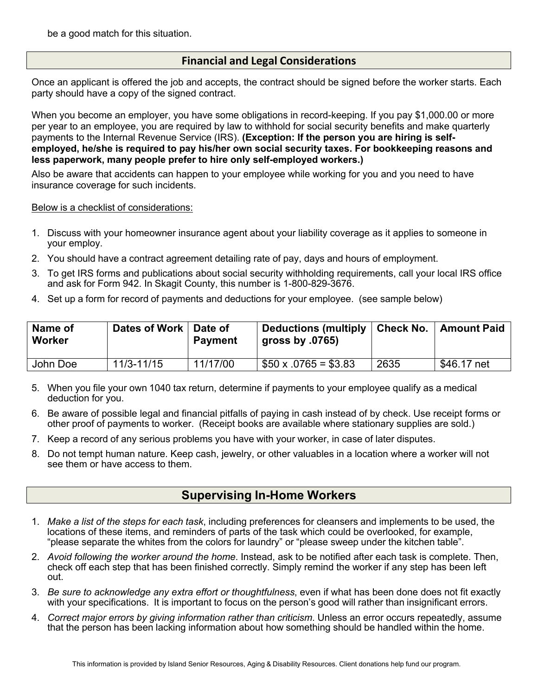be a good match for this situation.

### **Financial and Legal Considerations**

Once an applicant is offered the job and accepts, the contract should be signed before the worker starts. Each party should have a copy of the signed contract.

When you become an employer, you have some obligations in record-keeping. If you pay \$1,000.00 or more per year to an employee, you are required by law to withhold for social security benefits and make quarterly payments to the Internal Revenue Service (IRS). **(Exception: If the person you are hiring is selfemployed, he/she is required to pay his/her own social security taxes. For bookkeeping reasons and less paperwork, many people prefer to hire only self-employed workers.)**

Also be aware that accidents can happen to your employee while working for you and you need to have insurance coverage for such incidents.

Below is a checklist of considerations:

- 1. Discuss with your homeowner insurance agent about your liability coverage as it applies to someone in your employ.
- 2. You should have a contract agreement detailing rate of pay, days and hours of employment.
- 3. To get IRS forms and publications about social security withholding requirements, call your local IRS office and ask for Form 942. In Skagit County, this number is 1-800-829-3676.
- 4. Set up a form for record of payments and deductions for your employee. (see sample below)

| Name of<br>Worker | Dates of Work   Date of | <b>Payment</b> | Deductions (multiply   Check No.   Amount Paid<br>gross by $.0765$ ) |      |             |
|-------------------|-------------------------|----------------|----------------------------------------------------------------------|------|-------------|
| John Doe          | 11/3-11/15              | 11/17/00       | $$50 \times .0765 = $3.83$                                           | 2635 | \$46.17 net |

- 5. When you file your own 1040 tax return, determine if payments to your employee qualify as a medical deduction for you.
- 6. Be aware of possible legal and financial pitfalls of paying in cash instead of by check. Use receipt forms or other proof of payments to worker. (Receipt books are available where stationary supplies are sold.)
- 7. Keep a record of any serious problems you have with your worker, in case of later disputes.
- 8. Do not tempt human nature. Keep cash, jewelry, or other valuables in a location where a worker will not see them or have access to them.

### **Supervising In-Home Workers**

- 1. *Make a list of the steps for each task*, including preferences for cleansers and implements to be used, the locations of these items, and reminders of parts of the task which could be overlooked, for example, "please separate the whites from the colors for laundry" or "please sweep under the kitchen table".
- 2. *Avoid following the worker around the home*. Instead, ask to be notified after each task is complete. Then, check off each step that has been finished correctly. Simply remind the worker if any step has been left out.
- 3. *Be sure to acknowledge any extra effort or thoughtfulness*, even if what has been done does not fit exactly with your specifications. It is important to focus on the person's good will rather than insignificant errors.
- 4. *Correct major errors by giving information rather than criticism*. Unless an error occurs repeatedly, assume that the person has been lacking information about how something should be handled within the home.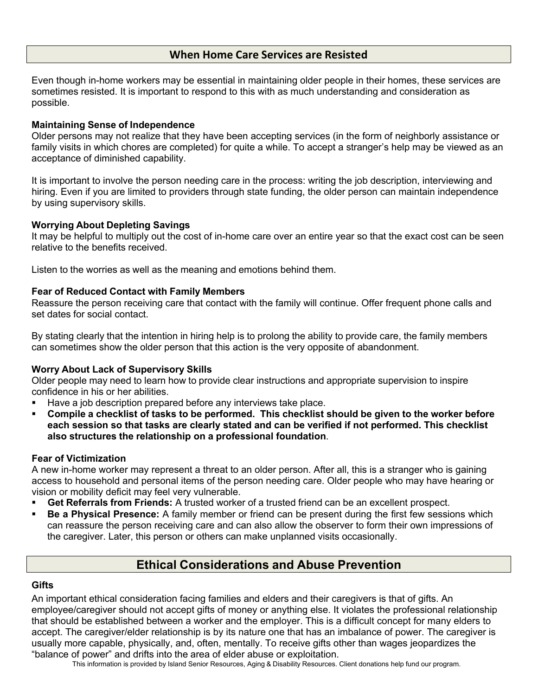### **When Home Care Services are Resisted**

Even though in-home workers may be essential in maintaining older people in their homes, these services are sometimes resisted. It is important to respond to this with as much understanding and consideration as possible.

#### **Maintaining Sense of Independence**

Older persons may not realize that they have been accepting services (in the form of neighborly assistance or family visits in which chores are completed) for quite a while. To accept a stranger's help may be viewed as an acceptance of diminished capability.

It is important to involve the person needing care in the process: writing the job description, interviewing and hiring. Even if you are limited to providers through state funding, the older person can maintain independence by using supervisory skills.

### **Worrying About Depleting Savings**

It may be helpful to multiply out the cost of in-home care over an entire year so that the exact cost can be seen relative to the benefits received.

Listen to the worries as well as the meaning and emotions behind them.

#### **Fear of Reduced Contact with Family Members**

Reassure the person receiving care that contact with the family will continue. Offer frequent phone calls and set dates for social contact.

By stating clearly that the intention in hiring help is to prolong the ability to provide care, the family members can sometimes show the older person that this action is the very opposite of abandonment.

### **Worry About Lack of Supervisory Skills**

Older people may need to learn how to provide clear instructions and appropriate supervision to inspire confidence in his or her abilities.

- Have a job description prepared before any interviews take place.
- § **Compile a checklist of tasks to be performed. This checklist should be given to the worker before each session so that tasks are clearly stated and can be verified if not performed. This checklist also structures the relationship on a professional foundation**.

#### **Fear of Victimization**

A new in-home worker may represent a threat to an older person. After all, this is a stranger who is gaining access to household and personal items of the person needing care. Older people who may have hearing or vision or mobility deficit may feel very vulnerable.

- § **Get Referrals from Friends:** A trusted worker of a trusted friend can be an excellent prospect.
- § **Be a Physical Presence:** A family member or friend can be present during the first few sessions which can reassure the person receiving care and can also allow the observer to form their own impressions of the caregiver. Later, this person or others can make unplanned visits occasionally.

### **Ethical Considerations and Abuse Prevention**

### **Gifts**

An important ethical consideration facing families and elders and their caregivers is that of gifts. An employee/caregiver should not accept gifts of money or anything else. It violates the professional relationship that should be established between a worker and the employer. This is a difficult concept for many elders to accept. The caregiver/elder relationship is by its nature one that has an imbalance of power. The caregiver is usually more capable, physically, and, often, mentally. To receive gifts other than wages jeopardizes the "balance of power" and drifts into the area of elder abuse or exploitation.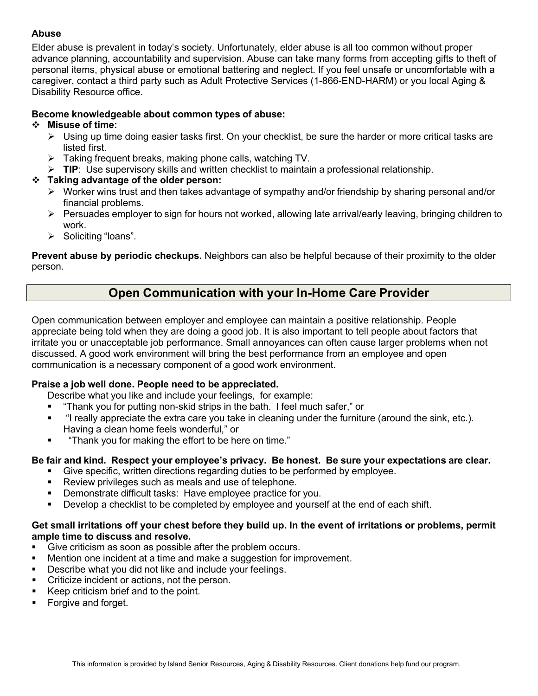### **Abuse**

Elder abuse is prevalent in today's society. Unfortunately, elder abuse is all too common without proper advance planning, accountability and supervision. Abuse can take many forms from accepting gifts to theft of personal items, physical abuse or emotional battering and neglect. If you feel unsafe or uncomfortable with a caregiver, contact a third party such as Adult Protective Services (1-866-END-HARM) or you local Aging & Disability Resource office.

### **Become knowledgeable about common types of abuse:**

### v **Misuse of time:**

- $\triangleright$  Using up time doing easier tasks first. On your checklist, be sure the harder or more critical tasks are listed first.
- $\triangleright$  Taking frequent breaks, making phone calls, watching TV.
- Ø **TIP**: Use supervisory skills and written checklist to maintain a professional relationship.

### v **Taking advantage of the older person:**

- $\triangleright$  Worker wins trust and then takes advantage of sympathy and/or friendship by sharing personal and/or financial problems.
- $\triangleright$  Persuades employer to sign for hours not worked, allowing late arrival/early leaving, bringing children to work.
- $\triangleright$  Soliciting "loans".

**Prevent abuse by periodic checkups.** Neighbors can also be helpful because of their proximity to the older person.

### **Open Communication with your In-Home Care Provider**

Open communication between employer and employee can maintain a positive relationship. People appreciate being told when they are doing a good job. It is also important to tell people about factors that irritate you or unacceptable job performance. Small annoyances can often cause larger problems when not discussed. A good work environment will bring the best performance from an employee and open communication is a necessary component of a good work environment.

### **Praise a job well done. People need to be appreciated.**

Describe what you like and include your feelings, for example:

- § "Thank you for putting non-skid strips in the bath. I feel much safer," or
- § "I really appreciate the extra care you take in cleaning under the furniture (around the sink, etc.). Having a clean home feels wonderful," or
- § "Thank you for making the effort to be here on time."

### **Be fair and kind. Respect your employee's privacy. Be honest. Be sure your expectations are clear.**

- § Give specific, written directions regarding duties to be performed by employee.
- Review privileges such as meals and use of telephone.
- **Demonstrate difficult tasks: Have employee practice for you.**
- **•** Develop a checklist to be completed by employee and yourself at the end of each shift.

### **Get small irritations off your chest before they build up. In the event of irritations or problems, permit ample time to discuss and resolve.**

- Give criticism as soon as possible after the problem occurs.
- Mention one incident at a time and make a suggestion for improvement.
- Describe what you did not like and include your feelings.
- § Criticize incident or actions, not the person.
- Keep criticism brief and to the point.
- Forgive and forget.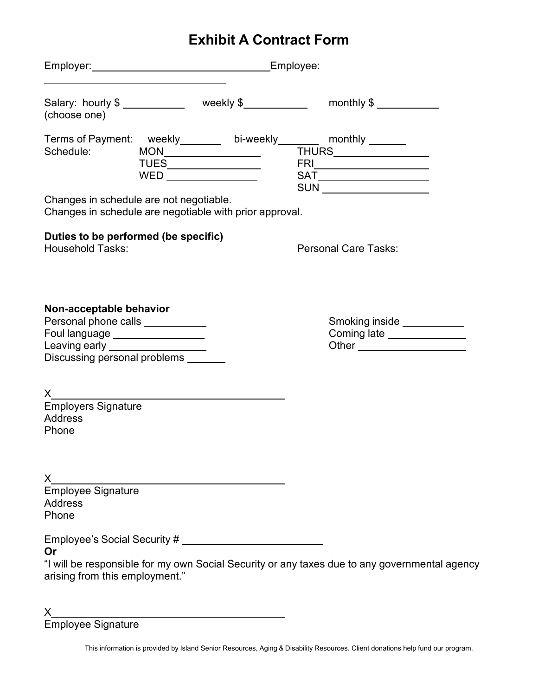## **Exhibit A Contract Form**

| Employer: Employee:                                                                                                                                                                |                      |  |  |                                                                                                                                                                                                                                                                    |  |  |  |
|------------------------------------------------------------------------------------------------------------------------------------------------------------------------------------|----------------------|--|--|--------------------------------------------------------------------------------------------------------------------------------------------------------------------------------------------------------------------------------------------------------------------|--|--|--|
| (choose one)                                                                                                                                                                       |                      |  |  | Salary: hourly \$ ______________ weekly \$ _____________ monthly \$ __________                                                                                                                                                                                     |  |  |  |
| Terms of Payment: weekly_______ bi-weekly_______ monthly ______<br>Schedule:<br>Changes in schedule are not negotiable.<br>Changes in schedule are negotiable with prior approval. | WED ________________ |  |  | $\begin{array}{cccccccccccccc} \text{MON} & & & & & \text{THURS} & & & \text{---} & \text{---} \end{array}$<br>$SAT \underline{\hspace{2cm}} \underline{\hspace{2cm}}$<br>SUN __________________                                                                   |  |  |  |
| Duties to be performed (be specific)<br><b>Household Tasks:</b>                                                                                                                    |                      |  |  | <b>Personal Care Tasks:</b>                                                                                                                                                                                                                                        |  |  |  |
| Non-acceptable behavior<br>Personal phone calls ___________<br>Foul language _________________<br>Leaving early ___________________<br>Discussing personal problems __             |                      |  |  | Smoking inside<br><u>Smoking</u> strate strate strate strate strate strate strate strate strate strate strate strate strate strate strate strate strate strate strate strate strate strate strate strate strate strate strate strat<br>Coming late _______________ |  |  |  |
| $\boldsymbol{\mathsf{X}}$<br><b>Employers Signature</b><br>Address<br>Phone                                                                                                        |                      |  |  |                                                                                                                                                                                                                                                                    |  |  |  |
| Address<br>Phone                                                                                                                                                                   |                      |  |  |                                                                                                                                                                                                                                                                    |  |  |  |
| Or<br>arising from this employment."                                                                                                                                               |                      |  |  | "I will be responsible for my own Social Security or any taxes due to any governmental agency                                                                                                                                                                      |  |  |  |
| X.                                                                                                                                                                                 |                      |  |  |                                                                                                                                                                                                                                                                    |  |  |  |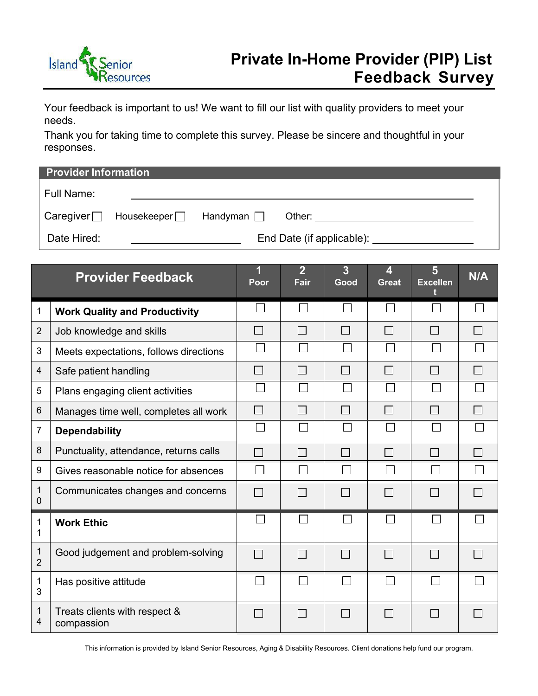

Your feedback is important to us! We want to fill our list with quality providers to meet your needs.

Thank you for taking time to complete this survey. Please be sincere and thoughtful in your responses.

| <b>Provider Information</b>                         |                                 |                                                                                                                                                                                                                                |  |  |  |  |
|-----------------------------------------------------|---------------------------------|--------------------------------------------------------------------------------------------------------------------------------------------------------------------------------------------------------------------------------|--|--|--|--|
| Full Name:                                          |                                 |                                                                                                                                                                                                                                |  |  |  |  |
| Caregiver $\Box$ Housekeeper $\Box$ Handyman $\Box$ |                                 | Other: and the control of the control of the control of the control of the control of the control of the control of the control of the control of the control of the control of the control of the control of the control of t |  |  |  |  |
| Date Hired:                                         | End Date (if applicable): _____ |                                                                                                                                                                                                                                |  |  |  |  |

| <b>Provider Feedback</b> |                                             | 1<br>Poor                | $\overline{2}$<br><b>Fair</b> | 3<br>Good    | 4<br><b>Great</b> | 5<br><b>Excellen</b>     | N/A    |
|--------------------------|---------------------------------------------|--------------------------|-------------------------------|--------------|-------------------|--------------------------|--------|
| 1                        | <b>Work Quality and Productivity</b>        |                          |                               |              |                   |                          |        |
| $\overline{2}$           | Job knowledge and skills                    |                          |                               | $\mathsf{L}$ | $\Box$            | $\overline{\phantom{a}}$ |        |
| 3                        | Meets expectations, follows directions      |                          |                               |              |                   |                          |        |
| 4                        | Safe patient handling                       |                          |                               | $\sim$       | $\mathsf{L}$      | $\sim$                   | $\sim$ |
| 5                        | Plans engaging client activities            |                          |                               |              |                   |                          |        |
| 6                        | Manages time well, completes all work       | $\overline{\phantom{0}}$ |                               |              |                   | $\blacksquare$           | $\sim$ |
| 7                        | <b>Dependability</b>                        | $\mathbf{I}$             |                               |              |                   |                          |        |
| 8                        | Punctuality, attendance, returns calls      |                          |                               | П            | $\Box$            | $\mathsf{L}$             | $\sim$ |
| 9                        | Gives reasonable notice for absences        |                          |                               |              |                   | <b>Contract</b>          |        |
| 1<br>$\Omega$            | Communicates changes and concerns           | $\mathbf{I}$             |                               |              |                   |                          |        |
| 1<br>1                   | <b>Work Ethic</b>                           |                          |                               |              |                   |                          |        |
| 1<br>$\overline{2}$      | Good judgement and problem-solving          | П                        | $\sim$                        | П            | $\Box$            | $\mathbf{I}$             | $\sim$ |
| $\mathbf 1$<br>3         | Has positive attitude                       |                          |                               |              |                   | $\Box$                   |        |
| 1<br>4                   | Treats clients with respect &<br>compassion | $\Box$                   | l a                           | $\Box$       | $\vert \ \ \vert$ | $\Box$                   | l s    |